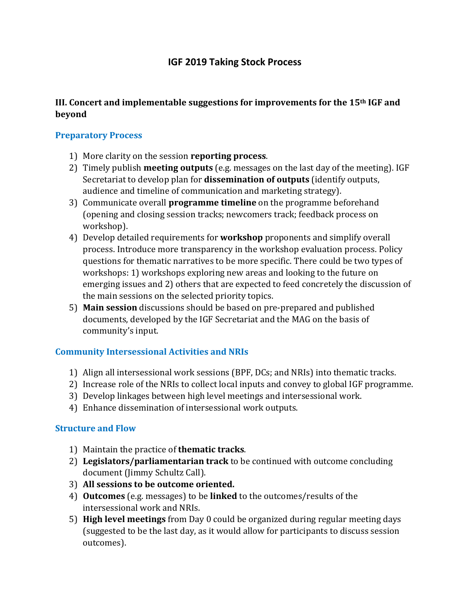# **IGF 2019 Taking Stock Process**

#### **III. Concert and implementable suggestions for improvements for the 15th IGF and beyond**

#### **Preparatory Process**

- 1) More clarity on the session **reporting process**.
- 2) Timely publish **meeting outputs** (e.g. messages on the last day of the meeting). IGF Secretariat to develop plan for **dissemination of outputs** (identify outputs, audience and timeline of communication and marketing strategy).
- 3) Communicate overall **programme timeline** on the programme beforehand (opening and closing session tracks; newcomers track; feedback process on workshop).
- 4) Develop detailed requirements for **workshop** proponents and simplify overall process. Introduce more transparency in the workshop evaluation process. Policy questions for thematic narratives to be more specific. There could be two types of workshops: 1) workshops exploring new areas and looking to the future on emerging issues and 2) others that are expected to feed concretely the discussion of the main sessions on the selected priority topics.
- 5) **Main session** discussions should be based on pre-prepared and published documents, developed by the IGF Secretariat and the MAG on the basis of community's input.

### **Community Intersessional Activities and NRIs**

- 1) Align all intersessional work sessions (BPF, DCs; and NRIs) into thematic tracks.
- 2) Increase role of the NRIs to collect local inputs and convey to global IGF programme.
- 3) Develop linkages between high level meetings and intersessional work.
- 4) Enhance dissemination of intersessional work outputs.

### **Structure and Flow**

- 1) Maintain the practice of **thematic tracks**.
- 2) **Legislators/parliamentarian track** to be continued with outcome concluding document (Jimmy Schultz Call).
- 3) **All sessions to be outcome oriented.**
- 4) **Outcomes** (e.g. messages) to be **linked** to the outcomes/results of the intersessional work and NRIs.
- 5) **High level meetings** from Day 0 could be organized during regular meeting days (suggested to be the last day, as it would allow for participants to discuss session outcomes).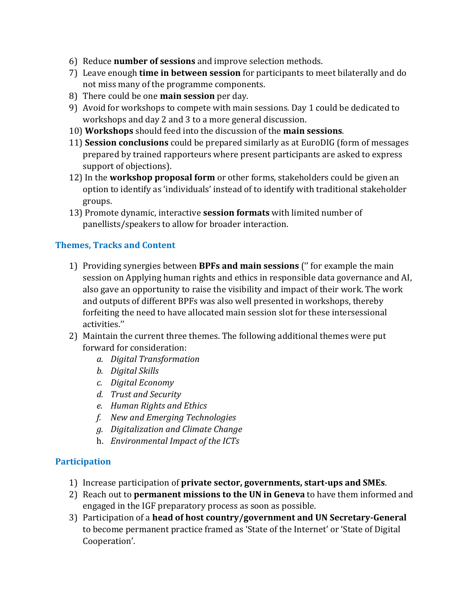- 6) Reduce **number of sessions** and improve selection methods.
- 7) Leave enough **time in between session** for participants to meet bilaterally and do not miss many of the programme components.
- 8) There could be one **main session** per day.
- 9) Avoid for workshops to compete with main sessions. Day 1 could be dedicated to workshops and day 2 and 3 to a more general discussion.
- 10) **Workshops** should feed into the discussion of the **main sessions**.
- 11) **Session conclusions** could be prepared similarly as at EuroDIG (form of messages prepared by trained rapporteurs where present participants are asked to express support of objections).
- 12) In the **workshop proposal form** or other forms, stakeholders could be given an option to identify as 'individuals' instead of to identify with traditional stakeholder groups.
- 13) Promote dynamic, interactive **session formats** with limited number of panellists/speakers to allow for broader interaction.

## **Themes, Tracks and Content**

- 1) Providing synergies between **BPFs and main sessions** ('' for example the main session on Applying human rights and ethics in responsible data governance and AI, also gave an opportunity to raise the visibility and impact of their work. The work and outputs of different BPFs was also well presented in workshops, thereby forfeiting the need to have allocated main session slot for these intersessional activities.''
- 2) Maintain the current three themes. The following additional themes were put forward for consideration:
	- *a. Digital Transformation*
	- *b. Digital Skills*
	- *c. Digital Economy*
	- *d. Trust and Security*
	- *e. Human Rights and Ethics*
	- *f. New and Emerging Technologies*
	- *g. Digitalization and Climate Change*
	- h. *Environmental Impact of the ICTs*

### **Participation**

- 1) Increase participation of **private sector, governments, start-ups and SMEs**.
- 2) Reach out to **permanent missions to the UN in Geneva** to have them informed and engaged in the IGF preparatory process as soon as possible.
- 3) Participation of a **head of host country/government and UN Secretary-General** to become permanent practice framed as 'State of the Internet' or 'State of Digital Cooperation'.